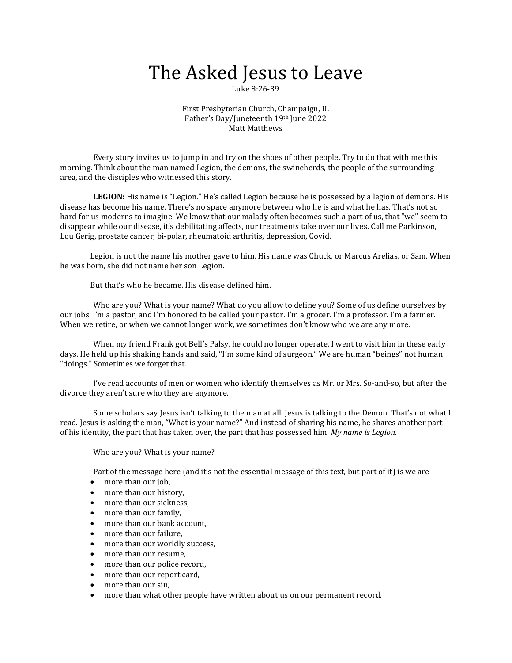## The Asked Jesus to Leave

Luke 8:26-39

First Presbyterian Church, Champaign, IL Father's Day/Juneteenth 19th June 2022 Matt Matthews

 Every story invites us to jump in and try on the shoes of other people. Try to do that with me this morning. Think about the man named Legion, the demons, the swineherds, the people of the surrounding area, and the disciples who witnessed this story.

 **LEGION:** His name is "Legion." He's called Legion because he is possessed by a legion of demons. His disease has become his name. There's no space anymore between who he is and what he has. That's not so hard for us moderns to imagine. We know that our malady often becomes such a part of us, that "we" seem to disappear while our disease, it's debilitating affects, our treatments take over our lives. Call me Parkinson, Lou Gerig, prostate cancer, bi-polar, rheumatoid arthritis, depression, Covid.

Legion is not the name his mother gave to him. His name was Chuck, or Marcus Arelias, or Sam. When he was born, she did not name her son Legion.

But that's who he became. His disease defined him.

 Who are you? What is your name? What do you allow to define you? Some of us define ourselves by our jobs. I'm a pastor, and I'm honored to be called your pastor. I'm a grocer. I'm a professor. I'm a farmer. When we retire, or when we cannot longer work, we sometimes don't know who we are any more.

 When my friend Frank got Bell's Palsy, he could no longer operate. I went to visit him in these early days. He held up his shaking hands and said, "I'm some kind of surgeon." We are human "beings" not human "doings." Sometimes we forget that.

 I've read accounts of men or women who identify themselves as Mr. or Mrs. So-and-so, but after the divorce they aren't sure who they are anymore.

 Some scholars say Jesus isn't talking to the man at all. Jesus is talking to the Demon. That's not what I read. Jesus is asking the man, "What is your name?" And instead of sharing his name, he shares another part of his identity, the part that has taken over, the part that has possessed him. *My name is Legion.*

## Who are you? What is your name?

Part of the message here (and it's not the essential message of this text, but part of it) is we are

- more than our job,
- more than our history,
- more than our sickness,
- more than our family,
- more than our bank account.
- more than our failure.
- more than our worldly success,
- more than our resume,
- more than our police record,
- more than our report card,
- more than our sin,
- more than what other people have written about us on our permanent record.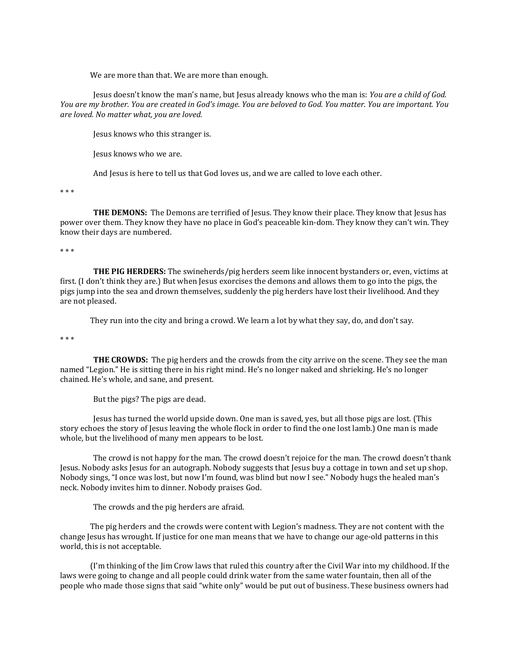We are more than that. We are more than enough.

 Jesus doesn't know the man's name, but Jesus already knows who the man is: *You are a child of God. You are my brother. You are created in God's image. You are beloved to God. You matter. You are important. You are loved. No matter what, you are loved.*

Jesus knows who this stranger is.

Jesus knows who we are.

And Jesus is here to tell us that God loves us, and we are called to love each other.

\* \* \*

 **THE DEMONS:** The Demons are terrified of Jesus. They know their place. They know that Jesus has power over them. They know they have no place in God's peaceable kin-dom. They know they can't win. They know their days are numbered.

\* \* \*

 **THE PIG HERDERS:** The swineherds/pig herders seem like innocent bystanders or, even, victims at first. (I don't think they are.) But when Jesus exorcises the demons and allows them to go into the pigs, the pigs jump into the sea and drown themselves, suddenly the pig herders have lost their livelihood. And they are not pleased.

They run into the city and bring a crowd. We learn a lot by what they say, do, and don't say.

\* \* \*

 **THE CROWDS:** The pig herders and the crowds from the city arrive on the scene. They see the man named "Legion." He is sitting there in his right mind. He's no longer naked and shrieking. He's no longer chained. He's whole, and sane, and present.

But the pigs? The pigs are dead.

 Jesus has turned the world upside down. One man is saved, yes, but all those pigs are lost. (This story echoes the story of Jesus leaving the whole flock in order to find the one lost lamb.) One man is made whole, but the livelihood of many men appears to be lost.

 The crowd is not happy for the man. The crowd doesn't rejoice for the man. The crowd doesn't thank Jesus. Nobody asks Jesus for an autograph. Nobody suggests that Jesus buy a cottage in town and set up shop. Nobody sings, "I once was lost, but now I'm found, was blind but now I see." Nobody hugs the healed man's neck. Nobody invites him to dinner. Nobody praises God.

The crowds and the pig herders are afraid.

The pig herders and the crowds were content with Legion's madness. They are not content with the change Jesus has wrought. If justice for one man means that we have to change our age-old patterns in this world, this is not acceptable.

(I'm thinking of the Jim Crow laws that ruled this country after the Civil War into my childhood. If the laws were going to change and all people could drink water from the same water fountain, then all of the people who made those signs that said "white only" would be put out of business. These business owners had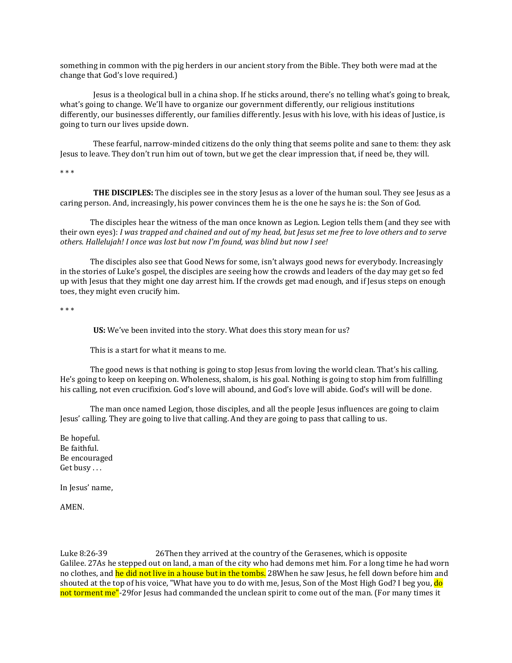something in common with the pig herders in our ancient story from the Bible. They both were mad at the change that God's love required.)

 Jesus is a theological bull in a china shop. If he sticks around, there's no telling what's going to break, what's going to change. We'll have to organize our government differently, our religious institutions differently, our businesses differently, our families differently. Jesus with his love, with his ideas of Justice, is going to turn our lives upside down.

 These fearful, narrow-minded citizens do the only thing that seems polite and sane to them: they ask Jesus to leave. They don't run him out of town, but we get the clear impression that, if need be, they will.

\* \* \*

 **THE DISCIPLES:** The disciples see in the story Jesus as a lover of the human soul. They see Jesus as a caring person. And, increasingly, his power convinces them he is the one he says he is: the Son of God.

The disciples hear the witness of the man once known as Legion. Legion tells them (and they see with their own eyes): *I was trapped and chained and out of my head, but Jesus set me free to love others and to serve others. Hallelujah! I once was lost but now I'm found, was blind but now I see!*

The disciples also see that Good News for some, isn't always good news for everybody. Increasingly in the stories of Luke's gospel, the disciples are seeing how the crowds and leaders of the day may get so fed up with Jesus that they might one day arrest him. If the crowds get mad enough, and if Jesus steps on enough toes, they might even crucify him.

\* \* \*

**US:** We've been invited into the story. What does this story mean for us?

This is a start for what it means to me.

The good news is that nothing is going to stop Jesus from loving the world clean. That's his calling. He's going to keep on keeping on. Wholeness, shalom, is his goal. Nothing is going to stop him from fulfilling his calling, not even crucifixion. God's love will abound, and God's love will abide. God's will will be done.

The man once named Legion, those disciples, and all the people Jesus influences are going to claim Jesus' calling. They are going to live that calling. And they are going to pass that calling to us.

Be hopeful. Be faithful. Be encouraged Get busy . . .

In Jesus' name,

AMEN.

Luke 8:26-39 26Then they arrived at the country of the Gerasenes, which is opposite Galilee. 27As he stepped out on land, a man of the city who had demons met him. For a long time he had worn no clothes, and he did not live in a house but in the tombs. 28When he saw Jesus, he fell down before him and shouted at the top of his voice, "What have you to do with me, Jesus, Son of the Most High God? I beg you, do not torment me"-29for Jesus had commanded the unclean spirit to come out of the man. (For many times it